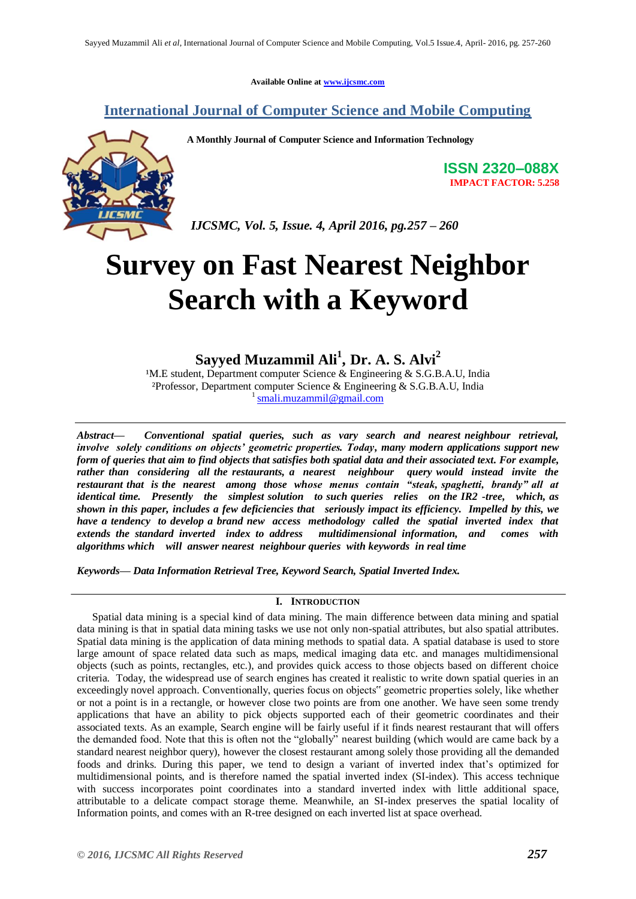**Available Online at www.ijcsmc.com**

### **International Journal of Computer Science and Mobile Computing**

**A Monthly Journal of Computer Science and Information Technology**

**ISSN 2320–088X IMPACT FACTOR: 5.258**

 *IJCSMC, Vol. 5, Issue. 4, April 2016, pg.257 – 260*

# **Survey on Fast Nearest Neighbor Search with a Keyword**

## **Sayyed Muzammil Ali<sup>1</sup> ,****Dr. A. S. Alvi<sup>2</sup>**

<sup>1</sup>M.E student, Department computer Science & Engineering & S.G.B.A.U, India ²Professor, Department computer Science & Engineering & S.G.B.A.U, India 1 smali.muzammil@gmail.com

*Abstract— Conventional spatial queries, such as vary search and nearest neighbour retrieval, involve solely conditions on objects' geometric properties. Today, many modern applications support new form of queries that aim to find objects that satisfies both spatial data and their associated text. For example, rather than considering all the restaurants, a nearest neighbour query would instead invite the*  restaurant that is the nearest among those whose menus contain "steak, spaghetti, brandy" all at *identical time. Presently the simplest solution to such queries relies on the IR2 -tree, which, as shown in this paper, includes a few deficiencies that seriously impact its efficiency. Impelled by this, we have a tendency to develop a brand new access methodology called the spatial inverted index that extends the standard inverted index to address multidimensional information, and comes with algorithms which will answer nearest neighbour queries with keywords in real time*

*Keywords— Data Information Retrieval Tree, Keyword Search, Spatial Inverted Index.*

#### **I. INTRODUCTION**

Spatial data mining is a special kind of data mining. The main difference between data mining and spatial data mining is that in spatial data mining tasks we use not only non-spatial attributes, but also spatial attributes. Spatial data mining is the application of data mining methods to spatial data. A spatial database is used to store large amount of space related data such as maps, medical imaging data etc. and manages multidimensional objects (such as points, rectangles, etc.), and provides quick access to those objects based on different choice criteria. Today, the widespread use of search engines has created it realistic to write down spatial queries in an exceedingly novel approach. Conventionally, queries focus on objects" geometric properties solely, like whether or not a point is in a rectangle, or however close two points are from one another. We have seen some trendy applications that have an ability to pick objects supported each of their geometric coordinates and their associated texts. As an example, Search engine will be fairly useful if it finds nearest restaurant that will offers the demanded food. Note that this is often not the "globally" nearest building (which would are came back by a standard nearest neighbor query), however the closest restaurant among solely those providing all the demanded foods and drinks. During this paper, we tend to design a variant of inverted index that"s optimized for multidimensional points, and is therefore named the spatial inverted index (SI-index). This access technique with success incorporates point coordinates into a standard inverted index with little additional space, attributable to a delicate compact storage theme. Meanwhile, an SI-index preserves the spatial locality of Information points, and comes with an R-tree designed on each inverted list at space overhead.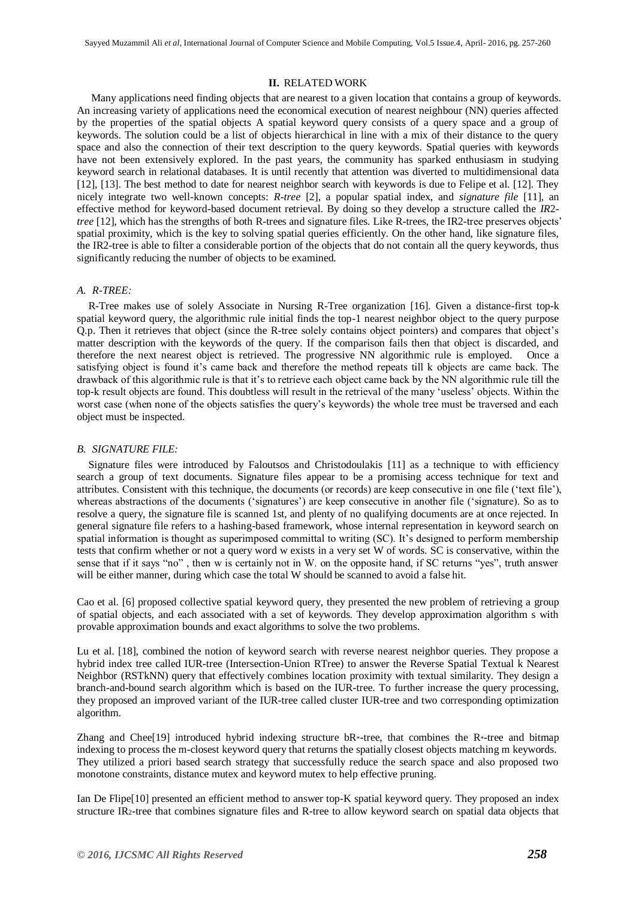#### **II.** RELATED WORK

Many applications need finding objects that are nearest to a given location that contains a group of keywords. An increasing variety of applications need the economical execution of nearest neighbour (NN) queries affected by the properties of the spatial objects A spatial keyword query consists of a query space and a group of keywords. The solution could be a list of objects hierarchical in line with a mix of their distance to the query space and also the connection of their text description to the query keywords. Spatial queries with keywords have not been extensively explored. In the past years, the community has sparked enthusiasm in studying keyword search in relational databases. It is until recently that attention was diverted to multidimensional data [12], [13]. The best method to date for nearest neighbor search with keywords is due to Felipe et al. [12]. They nicely integrate two well-known concepts: *R-tree* [2], a popular spatial index, and *signature file* [11], an effective method for keyword-based document retrieval. By doing so they develop a structure called the *IR*2 *tree* [12], which has the strengths of both R-trees and signature files. Like R-trees, the IR2-tree preserves objects' spatial proximity, which is the key to solving spatial queries efficiently. On the other hand, like signature files, the IR2-tree is able to filter a considerable portion of the objects that do not contain all the query keywords, thus significantly reducing the number of objects to be examined.

#### *A. R-TREE:*

R-Tree makes use of solely Associate in Nursing R-Tree organization [16]. Given a distance-first top-k spatial keyword query, the algorithmic rule initial finds the top-1 nearest neighbor object to the query purpose Q.p. Then it retrieves that object (since the R-tree solely contains object pointers) and compares that object"s matter description with the keywords of the query. If the comparison fails then that object is discarded, and therefore the next nearest object is retrieved. The progressive NN algorithmic rule is employed. Once a satisfying object is found it's came back and therefore the method repeats till k objects are came back. The drawback of this algorithmic rule is that it's to retrieve each object came back by the NN algorithmic rule till the top-k result objects are found. This doubtless will result in the retrieval of the many "useless" objects. Within the worst case (when none of the objects satisfies the query's keywords) the whole tree must be traversed and each object must be inspected.

#### *B. SIGNATURE FILE:*

Signature files were introduced by Faloutsos and Christodoulakis [11] as a technique to with efficiency search a group of text documents. Signature files appear to be a promising access technique for text and attributes. Consistent with this technique, the documents (or records) are keep consecutive in one file ("text file"), whereas abstractions of the documents ('signatures') are keep consecutive in another file ('signature). So as to resolve a query, the signature file is scanned 1st, and plenty of no qualifying documents are at once rejected. In general signature file refers to a hashing-based framework, whose internal representation in keyword search on spatial information is thought as superimposed committal to writing (SC). It's designed to perform membership tests that confirm whether or not a query word w exists in a very set W of words. SC is conservative, within the sense that if it says "no" , then w is certainly not in W. on the opposite hand, if SC returns "yes", truth answer will be either manner, during which case the total W should be scanned to avoid a false hit.

Cao et al. [6] proposed collective spatial keyword query, they presented the new problem of retrieving a group of spatial objects, and each associated with a set of keywords. They develop approximation algorithm s with provable approximation bounds and exact algorithms to solve the two problems.

Lu et al. [18], combined the notion of keyword search with reverse nearest neighbor queries. They propose a hybrid index tree called IUR-tree (Intersection-Union RTree) to answer the Reverse Spatial Textual k Nearest Neighbor (RSTkNN) query that effectively combines location proximity with textual similarity. They design a branch-and-bound search algorithm which is based on the IUR-tree. To further increase the query processing, they proposed an improved variant of the IUR-tree called cluster IUR-tree and two corresponding optimization algorithm.

Zhang and Chee<sup>[19]</sup> introduced hybrid indexing structure  $bR^*$ -tree, that combines the  $R^*$ -tree and bitmap indexing to process the m-closest keyword query that returns the spatially closest objects matching m keywords. They utilized a priori based search strategy that successfully reduce the search space and also proposed two monotone constraints, distance mutex and keyword mutex to help effective pruning.

Ian De Flipe[10] presented an efficient method to answer top-K spatial keyword query. They proposed an index structure IR2-tree that combines signature files and R-tree to allow keyword search on spatial data objects that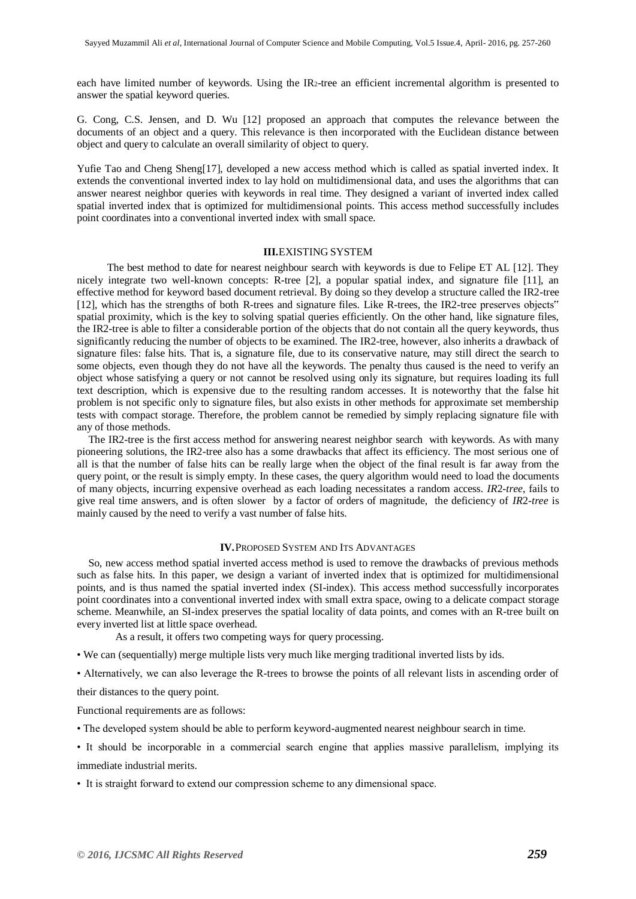each have limited number of keywords. Using the IR2-tree an efficient incremental algorithm is presented to answer the spatial keyword queries.

G. Cong, C.S. Jensen, and D. Wu [12] proposed an approach that computes the relevance between the documents of an object and a query. This relevance is then incorporated with the Euclidean distance between object and query to calculate an overall similarity of object to query.

Yufie Tao and Cheng Sheng[17], developed a new access method which is called as spatial inverted index. It extends the conventional inverted index to lay hold on multidimensional data, and uses the algorithms that can answer nearest neighbor queries with keywords in real time. They designed a variant of inverted index called spatial inverted index that is optimized for multidimensional points. This access method successfully includes point coordinates into a conventional inverted index with small space.

#### **III.**EXISTING SYSTEM

 The best method to date for nearest neighbour search with keywords is due to Felipe ET AL [12]. They nicely integrate two well-known concepts: R-tree [2], a popular spatial index, and signature file [11], an effective method for keyword based document retrieval. By doing so they develop a structure called the IR2-tree [12], which has the strengths of both R-trees and signature files. Like R-trees, the IR2-tree preserves objects" spatial proximity, which is the key to solving spatial queries efficiently. On the other hand, like signature files, the IR2-tree is able to filter a considerable portion of the objects that do not contain all the query keywords, thus significantly reducing the number of objects to be examined. The IR2-tree, however, also inherits a drawback of signature files: false hits. That is, a signature file, due to its conservative nature, may still direct the search to some objects, even though they do not have all the keywords. The penalty thus caused is the need to verify an object whose satisfying a query or not cannot be resolved using only its signature, but requires loading its full text description, which is expensive due to the resulting random accesses. It is noteworthy that the false hit problem is not specific only to signature files, but also exists in other methods for approximate set membership tests with compact storage. Therefore, the problem cannot be remedied by simply replacing signature file with any of those methods.

The IR2-tree is the first access method for answering nearest neighbor search with keywords. As with many pioneering solutions, the IR2-tree also has a some drawbacks that affect its efficiency. The most serious one of all is that the number of false hits can be really large when the object of the final result is far away from the query point, or the result is simply empty. In these cases, the query algorithm would need to load the documents of many objects, incurring expensive overhead as each loading necessitates a random access. *IR*2*-tree*, fails to give real time answers, and is often slower by a factor of orders of magnitude, the deficiency of *IR*2*-tree* is mainly caused by the need to verify a vast number of false hits.

#### **IV.**PROPOSED SYSTEM AND ITS ADVANTAGES

So, new access method spatial inverted access method is used to remove the drawbacks of previous methods such as false hits. In this paper, we design a variant of inverted index that is optimized for multidimensional points, and is thus named the spatial inverted index (SI-index). This access method successfully incorporates point coordinates into a conventional inverted index with small extra space, owing to a delicate compact storage scheme. Meanwhile, an SI-index preserves the spatial locality of data points, and comes with an R-tree built on every inverted list at little space overhead.

As a result, it offers two competing ways for query processing.

• We can (sequentially) merge multiple lists very much like merging traditional inverted lists by ids.

• Alternatively, we can also leverage the R-trees to browse the points of all relevant lists in ascending order of

their distances to the query point.

Functional requirements are as follows:

- The developed system should be able to perform keyword-augmented nearest neighbour search in time.
- It should be incorporable in a commercial search engine that applies massive parallelism, implying its immediate industrial merits.
- It is straight forward to extend our compression scheme to any dimensional space.